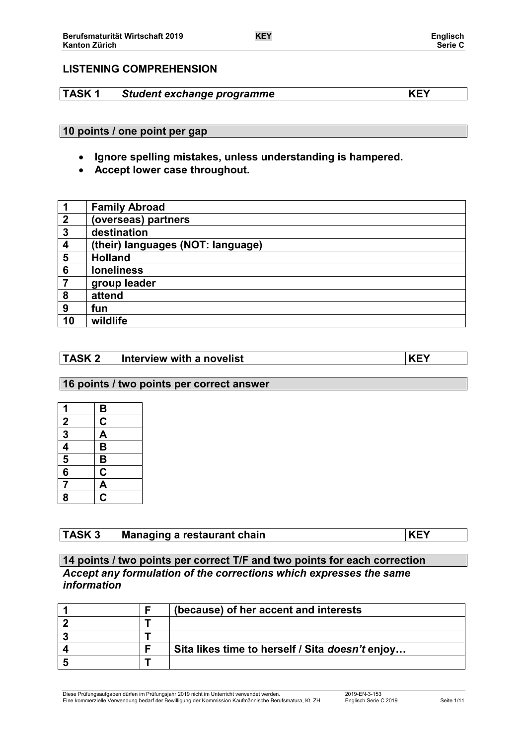# **LISTENING COMPREHENSION**

# **TASK 1** *Student exchange programme* **KEY**

### **10 points / one point per gap**

- **Ignore spelling mistakes, unless understanding is hampered.**
- **Accept lower case throughout.**

| 1               | <b>Family Abroad</b>              |
|-----------------|-----------------------------------|
| $\mathbf{2}$    | (overseas) partners               |
| $\mathbf{3}$    | destination                       |
| 4               | (their) languages (NOT: language) |
| 5               | <b>Holland</b>                    |
| $6\phantom{1}6$ | <b>loneliness</b>                 |
| $\overline{7}$  | group leader                      |
| 8               | attend                            |
| 9               | fun                               |
| 10              | wildlife                          |

# **TASK 2 Interview with a novelist KEY**

### **16 points / two points per correct answer**

| 1              | $\overline{B}$             |
|----------------|----------------------------|
|                | $\overline{\underline{c}}$ |
| $\frac{2}{3}$  | $\overline{\mathsf{A}}$    |
|                | $\overline{\mathbf{B}}$    |
| $\frac{4}{5}$  | $\overline{\mathbf{B}}$    |
|                | $\overline{\mathbf{C}}$    |
| $\overline{7}$ | $rac{A}{C}$                |
| 8              |                            |

# **TASK 3 Managing a restaurant chain KEY**

## **14 points / two points per correct T/F and two points for each correction** *Accept any formulation of the corrections which expresses the same information*

|  | (because) of her accent and interests           |
|--|-------------------------------------------------|
|  |                                                 |
|  |                                                 |
|  | Sita likes time to herself / Sita doesn't enjoy |
|  |                                                 |

Diese Prüfungsaufgaben dürfen im Prüfungsjahr 2019 nicht im Unterricht verwendet werden. 2019-EN-3-153 Eine kommerzielle Verwendung bedarf der Bewilligung der Kommission Kaufmännische Berufsmatura, Kt. ZH. Englisch Serie C 2019 Seite 1/11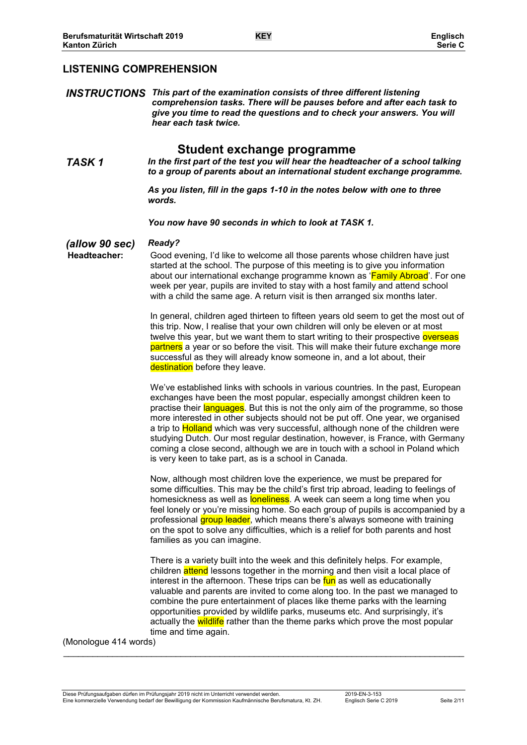## **LISTENING COMPREHENSION**

*INSTRUCTIONS This part of the examination consists of three different listening comprehension tasks. There will be pauses before and after each task to give you time to read the questions and to check your answers. You will hear each task twice.*

# **Student exchange programme**

*TASK 1 In the first part of the test you will hear the headteacher of a school talking to a group of parents about an international student exchange programme.*

> *As you listen, fill in the gaps 1-10 in the notes below with one to three words.*

*You now have 90 seconds in which to look at TASK 1.*

*(allow 90 sec) Ready?*

Good evening, I'd like to welcome all those parents whose children have just started at the school. The purpose of this meeting is to give you information about our international exchange programme known as 'Family Abroad'. For one week per year, pupils are invited to stay with a host family and attend school with a child the same age. A return visit is then arranged six months later.

In general, children aged thirteen to fifteen years old seem to get the most out of this trip. Now, I realise that your own children will only be eleven or at most twelve this year, but we want them to start writing to their prospective overseas partners a year or so before the visit. This will make their future exchange more successful as they will already know someone in, and a lot about, their destination before they leave.

We've established links with schools in various countries. In the past, European exchanges have been the most popular, especially amongst children keen to practise their languages. But this is not the only aim of the programme, so those more interested in other subjects should not be put off. One year, we organised a trip to **Holland** which was very successful, although none of the children were studying Dutch. Our most regular destination, however, is France, with Germany coming a close second, although we are in touch with a school in Poland which is very keen to take part, as is a school in Canada.

Now, although most children love the experience, we must be prepared for some difficulties. This may be the child's first trip abroad, leading to feelings of homesickness as well as **loneliness**. A week can seem a long time when you feel lonely or you're missing home. So each group of pupils is accompanied by a professional group leader, which means there's always someone with training on the spot to solve any difficulties, which is a relief for both parents and host families as you can imagine.

There is a variety built into the week and this definitely helps. For example, children attend lessons together in the morning and then visit a local place of interest in the afternoon. These trips can be fun as well as educationally valuable and parents are invited to come along too. In the past we managed to combine the pure entertainment of places like theme parks with the learning opportunities provided by wildlife parks, museums etc. And surprisingly, it's actually the wildlife rather than the theme parks which prove the most popular time and time again.

(Monologue 414 words)

Diese Prüfungsaufgaben dürfen im Prüfungsjahr 2019 nicht im Unterricht verwendet werden. 2019-EN-3-153 Eine kommerzielle Verwendung bedarf der Bewilligung der Kommission Kaufmännische Berufsmatura, Kt. ZH. Englisch Serie C 2019 Seite 2/11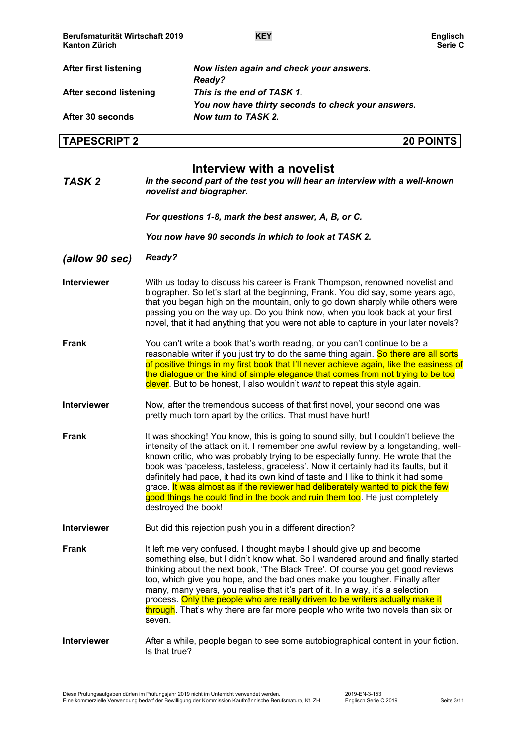| <b>After first listening</b> | Now listen again and check your answers.                                                                |
|------------------------------|---------------------------------------------------------------------------------------------------------|
|                              | Ready?                                                                                                  |
| After second listening       | This is the end of TASK 1.                                                                              |
|                              | You now have thirty seconds to check your answers.                                                      |
| After 30 seconds             | Now turn to TASK 2.                                                                                     |
| <b>TAPESCRIPT 2</b>          | <b>20 POINTS</b>                                                                                        |
|                              | Interview with a novelist                                                                               |
| TASK <sub>2</sub>            | In the second part of the test you will hear an interview with a well-known<br>novelist and biographer. |
|                              | For questions 1-8, mark the best answer, A, B, or C.                                                    |
|                              | You now have 90 seconds in which to look at TASK 2.                                                     |

- *(allow 90 sec) Ready?*
- **Interviewer** With us today to discuss his career is Frank Thompson, renowned novelist and biographer. So let's start at the beginning, Frank. You did say, some years ago, that you began high on the mountain, only to go down sharply while others were passing you on the way up. Do you think now, when you look back at your first novel, that it had anything that you were not able to capture in your later novels?
- **Frank** You can't write a book that's worth reading, or you can't continue to be a reasonable writer if you just try to do the same thing again. So there are all sorts of positive things in my first book that I'll never achieve again, like the easiness of the dialogue or the kind of simple elegance that comes from not trying to be too clever. But to be honest, I also wouldn't *want* to repeat this style again.
- **Interviewer** Now, after the tremendous success of that first novel, your second one was pretty much torn apart by the critics. That must have hurt!
- **Frank** It was shocking! You know, this is going to sound silly, but I couldn't believe the intensity of the attack on it. I remember one awful review by a longstanding, wellknown critic, who was probably trying to be especially funny. He wrote that the book was 'paceless, tasteless, graceless'. Now it certainly had its faults, but it definitely had pace, it had its own kind of taste and I like to think it had some grace. It was almost as if the reviewer had deliberately wanted to pick the few good things he could find in the book and ruin them too. He just completely destroyed the book!
- **Interviewer** But did this rejection push you in a different direction?
- **Frank** It left me very confused. I thought maybe I should give up and become something else, but I didn't know what. So I wandered around and finally started thinking about the next book, 'The Black Tree'. Of course you get good reviews too, which give you hope, and the bad ones make you tougher. Finally after many, many years, you realise that it's part of it. In a way, it's a selection process. Only the people who are really driven to be writers actually make it through. That's why there are far more people who write two novels than six or seven.

### **Interviewer** After a while, people began to see some autobiographical content in your fiction. Is that true?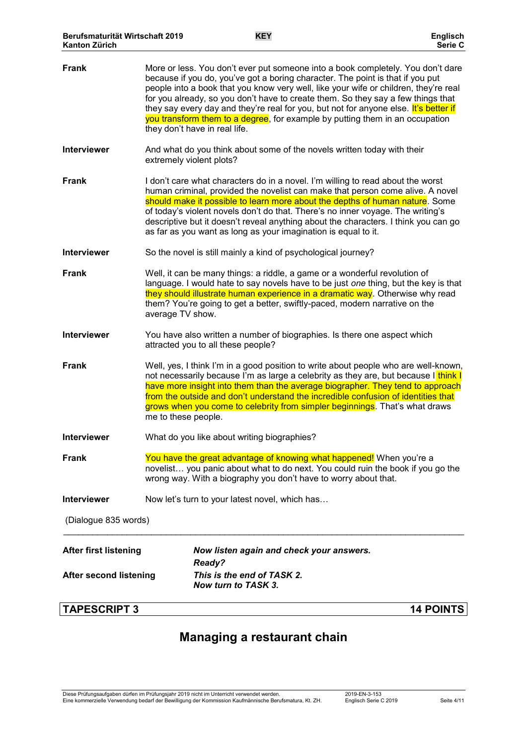| <b>TAPESCRIPT 3</b>           | <b>14 POINTS</b>                                                                                                                                                                                                                                                                                                                                                                                                                                                                                                                                       |
|-------------------------------|--------------------------------------------------------------------------------------------------------------------------------------------------------------------------------------------------------------------------------------------------------------------------------------------------------------------------------------------------------------------------------------------------------------------------------------------------------------------------------------------------------------------------------------------------------|
| <b>After second listening</b> | This is the end of TASK 2.<br>Now turn to TASK 3.                                                                                                                                                                                                                                                                                                                                                                                                                                                                                                      |
| <b>After first listening</b>  | Now listen again and check your answers.<br>Ready?                                                                                                                                                                                                                                                                                                                                                                                                                                                                                                     |
| (Dialogue 835 words)          |                                                                                                                                                                                                                                                                                                                                                                                                                                                                                                                                                        |
| <b>Interviewer</b>            | Now let's turn to your latest novel, which has                                                                                                                                                                                                                                                                                                                                                                                                                                                                                                         |
| <b>Frank</b>                  | You have the great advantage of knowing what happened! When you're a<br>novelist you panic about what to do next. You could ruin the book if you go the<br>wrong way. With a biography you don't have to worry about that.                                                                                                                                                                                                                                                                                                                             |
| <b>Interviewer</b>            | What do you like about writing biographies?                                                                                                                                                                                                                                                                                                                                                                                                                                                                                                            |
| <b>Frank</b>                  | Well, yes, I think I'm in a good position to write about people who are well-known,<br>not necessarily because I'm as large a celebrity as they are, but because I think I<br>have more insight into them than the average biographer. They tend to approach<br>from the outside and don't understand the incredible confusion of identities that<br>grows when you come to celebrity from simpler beginnings. That's what draws<br>me to these people.                                                                                                |
| <b>Interviewer</b>            | You have also written a number of biographies. Is there one aspect which<br>attracted you to all these people?                                                                                                                                                                                                                                                                                                                                                                                                                                         |
| <b>Frank</b>                  | Well, it can be many things: a riddle, a game or a wonderful revolution of<br>language. I would hate to say novels have to be just one thing, but the key is that<br>they should illustrate human experience in a dramatic way. Otherwise why read<br>them? You're going to get a better, swiftly-paced, modern narrative on the<br>average TV show.                                                                                                                                                                                                   |
| <b>Interviewer</b>            | So the novel is still mainly a kind of psychological journey?                                                                                                                                                                                                                                                                                                                                                                                                                                                                                          |
| <b>Frank</b>                  | I don't care what characters do in a novel. I'm willing to read about the worst<br>human criminal, provided the novelist can make that person come alive. A novel<br>should make it possible to learn more about the depths of human nature. Some<br>of today's violent novels don't do that. There's no inner voyage. The writing's<br>descriptive but it doesn't reveal anything about the characters. I think you can go<br>as far as you want as long as your imagination is equal to it.                                                          |
| <b>Interviewer</b>            | And what do you think about some of the novels written today with their<br>extremely violent plots?                                                                                                                                                                                                                                                                                                                                                                                                                                                    |
| <b>Frank</b>                  | More or less. You don't ever put someone into a book completely. You don't dare<br>because if you do, you've got a boring character. The point is that if you put<br>people into a book that you know very well, like your wife or children, they're real<br>for you already, so you don't have to create them. So they say a few things that<br>they say every day and they're real for you, but not for anyone else. It's better if<br>you transform them to a degree, for example by putting them in an occupation<br>they don't have in real life. |
|                               |                                                                                                                                                                                                                                                                                                                                                                                                                                                                                                                                                        |

# **Managing a restaurant chain**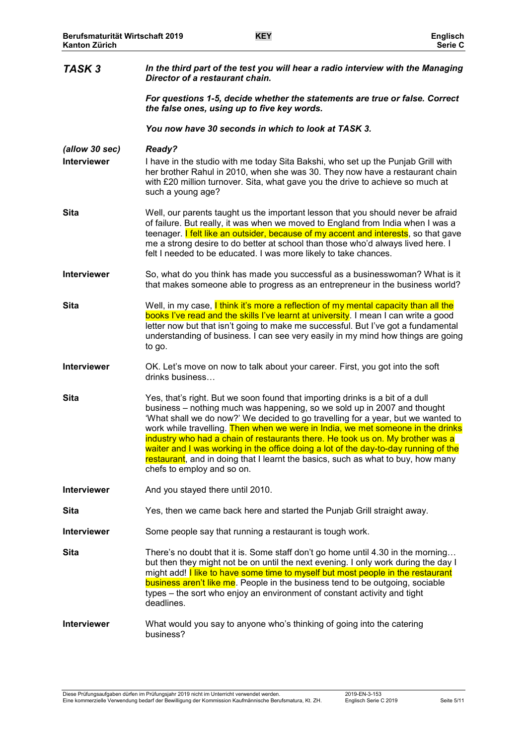| TASK <sub>3</sub>                    | In the third part of the test you will hear a radio interview with the Managing<br>Director of a restaurant chain.                                                                                                                                                                                                                                                                                                                                                                                                                                                                                                          |
|--------------------------------------|-----------------------------------------------------------------------------------------------------------------------------------------------------------------------------------------------------------------------------------------------------------------------------------------------------------------------------------------------------------------------------------------------------------------------------------------------------------------------------------------------------------------------------------------------------------------------------------------------------------------------------|
|                                      | For questions 1-5, decide whether the statements are true or false. Correct<br>the false ones, using up to five key words.                                                                                                                                                                                                                                                                                                                                                                                                                                                                                                  |
|                                      | You now have 30 seconds in which to look at TASK 3.                                                                                                                                                                                                                                                                                                                                                                                                                                                                                                                                                                         |
| (allow 30 sec)<br><b>Interviewer</b> | <b>Ready?</b><br>I have in the studio with me today Sita Bakshi, who set up the Punjab Grill with<br>her brother Rahul in 2010, when she was 30. They now have a restaurant chain<br>with £20 million turnover. Sita, what gave you the drive to achieve so much at<br>such a young age?                                                                                                                                                                                                                                                                                                                                    |
| <b>Sita</b>                          | Well, our parents taught us the important lesson that you should never be afraid<br>of failure. But really, it was when we moved to England from India when I was a<br>teenager. I felt like an outsider, because of my accent and interests, so that gave<br>me a strong desire to do better at school than those who'd always lived here. I<br>felt I needed to be educated. I was more likely to take chances.                                                                                                                                                                                                           |
| <b>Interviewer</b>                   | So, what do you think has made you successful as a businesswoman? What is it<br>that makes someone able to progress as an entrepreneur in the business world?                                                                                                                                                                                                                                                                                                                                                                                                                                                               |
| <b>Sita</b>                          | Well, in my case, I think it's more a reflection of my mental capacity than all the<br>books I've read and the skills I've learnt at university. I mean I can write a good<br>letter now but that isn't going to make me successful. But I've got a fundamental<br>understanding of business. I can see very easily in my mind how things are going<br>to go.                                                                                                                                                                                                                                                               |
| Interviewer                          | OK. Let's move on now to talk about your career. First, you got into the soft<br>drinks business                                                                                                                                                                                                                                                                                                                                                                                                                                                                                                                            |
| <b>Sita</b>                          | Yes, that's right. But we soon found that importing drinks is a bit of a dull<br>business – nothing much was happening, so we sold up in 2007 and thought<br>'What shall we do now?' We decided to go travelling for a year, but we wanted to<br>work while travelling. Then when we were in India, we met someone in the drinks<br>industry who had a chain of restaurants there. He took us on. My brother was a<br>waiter and I was working in the office doing a lot of the day-to-day running of the<br>restaurant, and in doing that I learnt the basics, such as what to buy, how many<br>chefs to employ and so on. |
| <b>Interviewer</b>                   | And you stayed there until 2010.                                                                                                                                                                                                                                                                                                                                                                                                                                                                                                                                                                                            |
| Sita                                 | Yes, then we came back here and started the Punjab Grill straight away.                                                                                                                                                                                                                                                                                                                                                                                                                                                                                                                                                     |
| Interviewer                          | Some people say that running a restaurant is tough work.                                                                                                                                                                                                                                                                                                                                                                                                                                                                                                                                                                    |
| <b>Sita</b>                          | There's no doubt that it is. Some staff don't go home until 4.30 in the morning<br>but then they might not be on until the next evening. I only work during the day I<br>might add! I like to have some time to myself but most people in the restaurant<br><b>business aren't like me</b> . People in the business tend to be outgoing, sociable<br>types – the sort who enjoy an environment of constant activity and tight<br>deadlines.                                                                                                                                                                                 |
| <b>Interviewer</b>                   | What would you say to anyone who's thinking of going into the catering<br>business?                                                                                                                                                                                                                                                                                                                                                                                                                                                                                                                                         |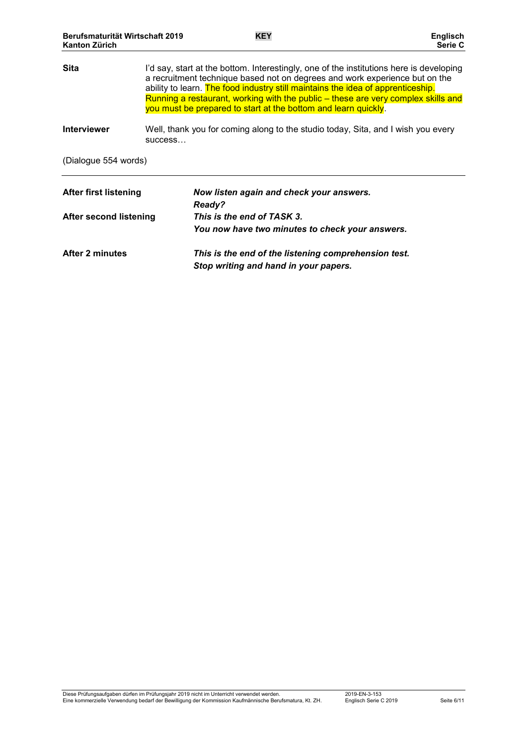| <b>Sita</b>                   | I'd say, start at the bottom. Interestingly, one of the institutions here is developing<br>a recruitment technique based not on degrees and work experience but on the<br>ability to learn. The food industry still maintains the idea of apprenticeship.<br>Running a restaurant, working with the public – these are very complex skills and<br>you must be prepared to start at the bottom and learn quickly. |
|-------------------------------|------------------------------------------------------------------------------------------------------------------------------------------------------------------------------------------------------------------------------------------------------------------------------------------------------------------------------------------------------------------------------------------------------------------|
| <b>Interviewer</b>            | Well, thank you for coming along to the studio today, Sita, and I wish you every<br>SUCCESS                                                                                                                                                                                                                                                                                                                      |
| (Dialogue 554 words)          |                                                                                                                                                                                                                                                                                                                                                                                                                  |
| <b>After first listening</b>  | Now listen again and check your answers.<br>Ready?                                                                                                                                                                                                                                                                                                                                                               |
| <b>After second listening</b> | This is the end of TASK 3.                                                                                                                                                                                                                                                                                                                                                                                       |
|                               | You now have two minutes to check your answers.                                                                                                                                                                                                                                                                                                                                                                  |
| After 2 minutes               | This is the end of the listening comprehension test.<br>Stop writing and hand in your papers.                                                                                                                                                                                                                                                                                                                    |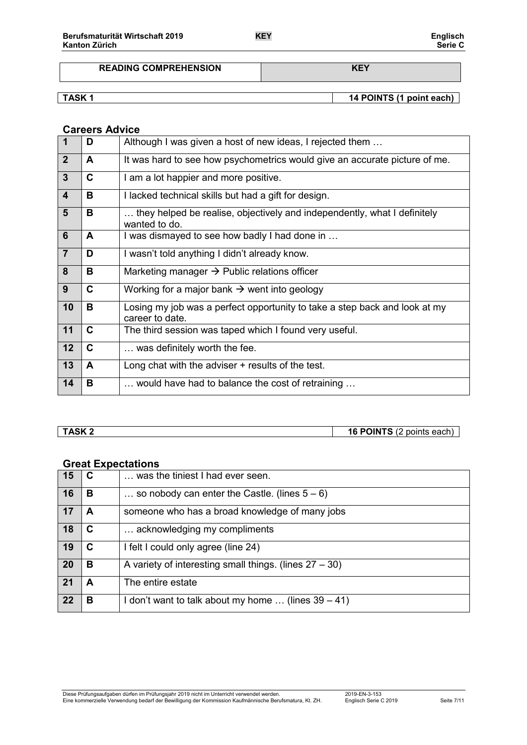# **READING COMPREHENSION KEY**

**TASK 1 14 POINTS** (1 point each)

## **Careers Advice**

| $\overline{\mathbf{1}}$ | D | Although I was given a host of new ideas, I rejected them                                     |
|-------------------------|---|-----------------------------------------------------------------------------------------------|
| $\overline{2}$          | A | It was hard to see how psychometrics would give an accurate picture of me.                    |
| $\mathbf{3}$            | C | I am a lot happier and more positive.                                                         |
| $\overline{\mathbf{4}}$ | B | I lacked technical skills but had a gift for design.                                          |
| $5\phantom{1}$          | В | they helped be realise, objectively and independently, what I definitely<br>wanted to do.     |
| 6                       | A | I was dismayed to see how badly I had done in                                                 |
| $\overline{7}$          | D | I wasn't told anything I didn't already know.                                                 |
| 8                       | В | Marketing manager $\rightarrow$ Public relations officer                                      |
| 9                       | C | Working for a major bank $\rightarrow$ went into geology                                      |
| 10                      | В | Losing my job was a perfect opportunity to take a step back and look at my<br>career to date. |
| 11                      | C | The third session was taped which I found very useful.                                        |
| 12                      | C | was definitely worth the fee.                                                                 |
| 13                      | A | Long chat with the adviser $+$ results of the test.                                           |
| 14                      | В | would have had to balance the cost of retraining                                              |

**TASK 2 16 POINTS** (2 points each)

# **Great Expectations**

| 15        |   | was the tiniest I had ever seen.                            |
|-----------|---|-------------------------------------------------------------|
| 16        | в | so nobody can enter the Castle. (lines $5-6$ )              |
| 17        | А | someone who has a broad knowledge of many jobs              |
| 18        | C | acknowledging my compliments                                |
| 19        | C | I felt I could only agree (line 24)                         |
| <b>20</b> | в | A variety of interesting small things. (lines $27 - 30$ )   |
| 21        | А | The entire estate                                           |
| 22        | в | I don't want to talk about my home $\ldots$ (lines 39 – 41) |

Diese Prüfungsaufgaben dürfen im Prüfungsjahr 2019 nicht im Unterricht verwendet werden. 2019-EN-3-153 Eine kommerzielle Verwendung bedarf der Bewilligung der Kommission Kaufmännische Berufsmatura, Kt. ZH. Englisch Serie C 2019 Seite 7/11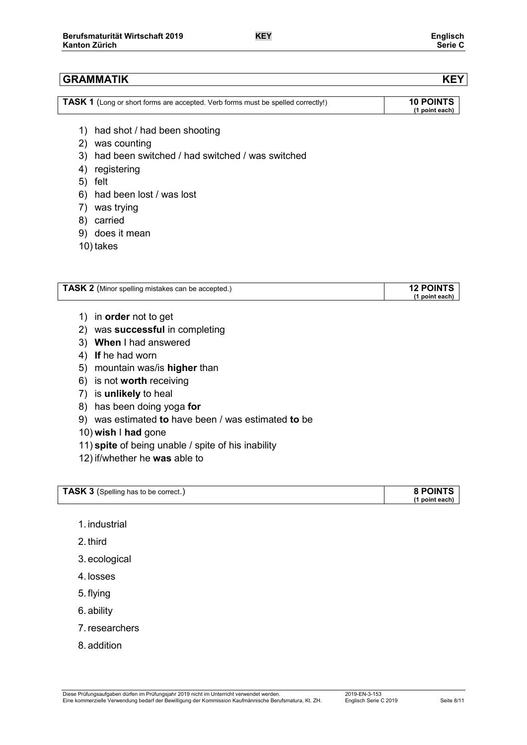| <b>TASK 1</b> (Long or short forms are accepted. Verb forms must be spelled correctly!) | <b>10 POINTS</b> |
|-----------------------------------------------------------------------------------------|------------------|
|                                                                                         | (1 point each)   |

- 1) had shot / had been shooting
- 2) was counting
- 3) had been switched / had switched / was switched
- 4) registering
- 5) felt
- 6) had been lost / was lost
- 7) was trying
- 8) carried
- 9) does it mean
- 10) takes

| <b>TASK 2</b> (Minor spelling mistakes can be accepted.) | <b>12 POINTS</b> |
|----------------------------------------------------------|------------------|
|                                                          | (1 point each)   |

- 1) in **order** not to get
- 2) was **successful** in completing
- 3) **When** I had answered
- 4) **If** he had worn
- 5) mountain was/is **higher** than
- 6) is not **worth** receiving
- 7) is **unlikely** to heal
- 8) has been doing yoga **for**
- 9) was estimated **to** have been / was estimated **to** be
- 10) **wish** I **had** gone
- 11) **spite** of being unable / spite of his inability
- 12) if/whether he **was** able to

| <b>TASK 3</b> (Spelling has to be correct.) | <b>8 POINTS</b> |
|---------------------------------------------|-----------------|
|                                             | (1 point each)  |

- 1. industrial
- 2. third
- 3. ecological
- 4. losses
- 5. flying
- 6. ability
- 7.researchers
- 8. addition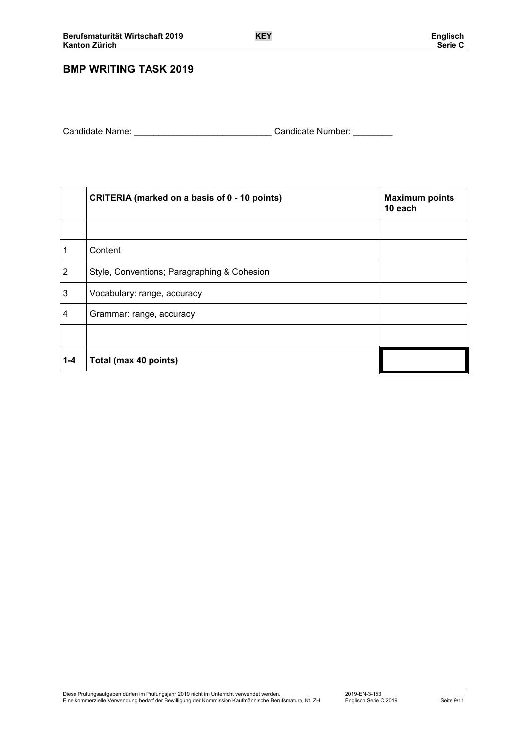# **BMP WRITING TASK 2019**

| Candidate Name: | Candidate Number: |  |
|-----------------|-------------------|--|
|                 |                   |  |

|                | CRITERIA (marked on a basis of 0 - 10 points) | <b>Maximum points</b><br>10 each |
|----------------|-----------------------------------------------|----------------------------------|
|                |                                               |                                  |
| 1              | Content                                       |                                  |
| $\overline{2}$ | Style, Conventions; Paragraphing & Cohesion   |                                  |
| 3              | Vocabulary: range, accuracy                   |                                  |
| 4              | Grammar: range, accuracy                      |                                  |
|                |                                               |                                  |
| $1 - 4$        | Total (max 40 points)                         |                                  |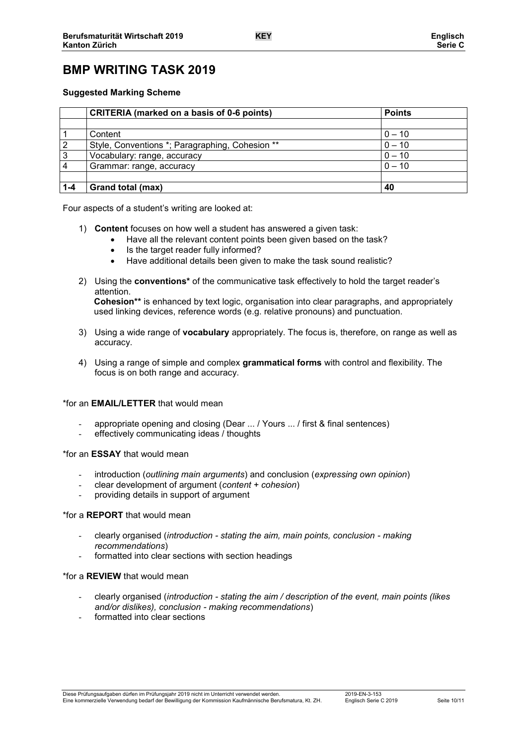# **BMP WRITING TASK 2019**

### **Suggested Marking Scheme**

|         | <b>CRITERIA</b> (marked on a basis of 0-6 points) | <b>Points</b> |  |
|---------|---------------------------------------------------|---------------|--|
|         |                                                   |               |  |
|         | Content                                           | $0 - 10$      |  |
| 2       | Style, Conventions *; Paragraphing, Cohesion **   | $0 - 10$      |  |
| 3       | Vocabulary: range, accuracy                       | $0 - 10$      |  |
|         | $0 - 10$<br>Grammar: range, accuracy              |               |  |
|         |                                                   |               |  |
| $1 - 4$ | Grand total (max)                                 | 40            |  |

Four aspects of a student's writing are looked at:

- 1) **Content** focuses on how well a student has answered a given task:
	- Have all the relevant content points been given based on the task?
	- Is the target reader fully informed?
	- Have additional details been given to make the task sound realistic?
- 2) Using the **conventions\*** of the communicative task effectively to hold the target reader's attention. **Cohesion\*\*** is enhanced by text logic, organisation into clear paragraphs, and appropriately used linking devices, reference words (e.g. relative pronouns) and punctuation.
- 3) Using a wide range of **vocabulary** appropriately. The focus is, therefore, on range as well as accuracy.
- 4) Using a range of simple and complex **grammatical forms** with control and flexibility. The focus is on both range and accuracy.

### \*for an **EMAIL/LETTER** that would mean

- appropriate opening and closing (Dear ... / Yours ... / first & final sentences)
- effectively communicating ideas / thoughts

### \*for an **ESSAY** that would mean

- introduction (*outlining main arguments*) and conclusion (*expressing own opinion*)
- clear development of argument (*content + cohesion*)
- providing details in support of argument

### \*for a **REPORT** that would mean

- clearly organised (*introduction - stating the aim, main points, conclusion - making recommendations*)
- formatted into clear sections with section headings

### \*for a **REVIEW** that would mean

- clearly organised (*introduction - stating the aim / description of the event, main points (likes and/or dislikes), conclusion - making recommendations*)
- formatted into clear sections